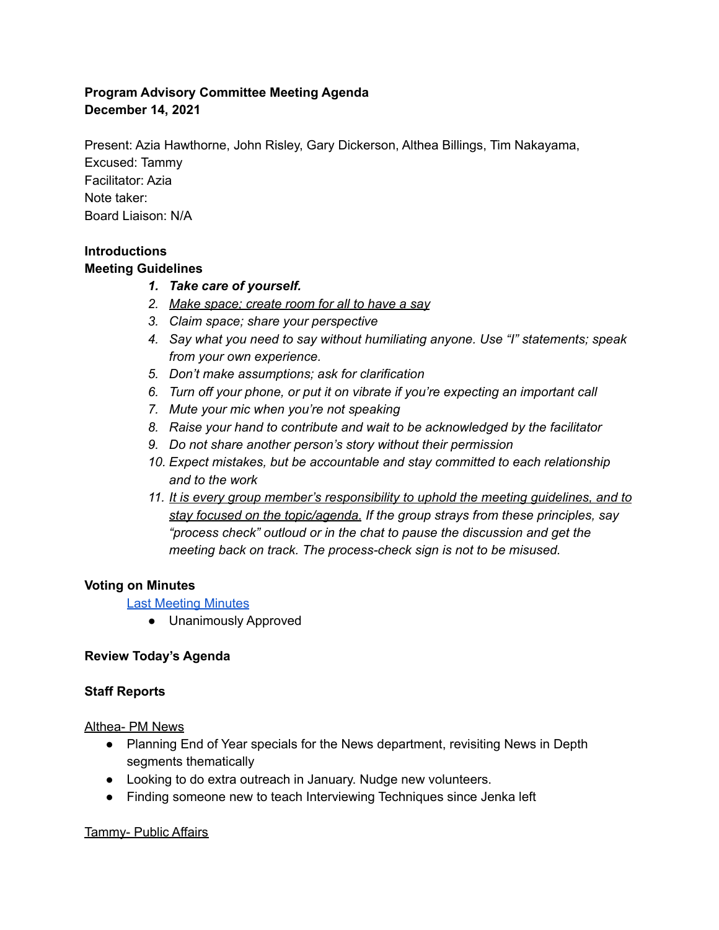## **Program Advisory Committee Meeting Agenda December 14, 2021**

Present: Azia Hawthorne, John Risley, Gary Dickerson, Althea Billings, Tim Nakayama, Excused: Tammy Facilitator: Azia Note taker: Board Liaison: N/A

# **Introductions**

### **Meeting Guidelines**

- *1. Take care of yourself.*
- *2. Make space; create room for all to have a say*
- *3. Claim space; share your perspective*
- *4. Say what you need to say without humiliating anyone. Use "I" statements; speak from your own experience.*
- *5. Don't make assumptions; ask for clarification*
- *6. Turn off your phone, or put it on vibrate if you're expecting an important call*
- *7. Mute your mic when you're not speaking*
- *8. Raise your hand to contribute and wait to be acknowledged by the facilitator*
- *9. Do not share another person's story without their permission*
- *10. Expect mistakes, but be accountable and stay committed to each relationship and to the work*
- *11. It is every group member's responsibility to uphold the meeting guidelines, and to stay focused on the topic/agenda. If the group strays from these principles, say "process check" outloud or in the chat to pause the discussion and get the meeting back on track. The process-check sign is not to be misused.*

# **Voting on Minutes**

### Last [Meeting](https://kboo.fm/2021-programming-advisory-committee-meeting-minutes) Minutes

● Unanimously Approved

### **Review Today's Agenda**

### **Staff Reports**

### Althea- PM News

- Planning End of Year specials for the News department, revisiting News in Depth segments thematically
- Looking to do extra outreach in January. Nudge new volunteers.
- Finding someone new to teach Interviewing Techniques since Jenka left

### Tammy- Public Affairs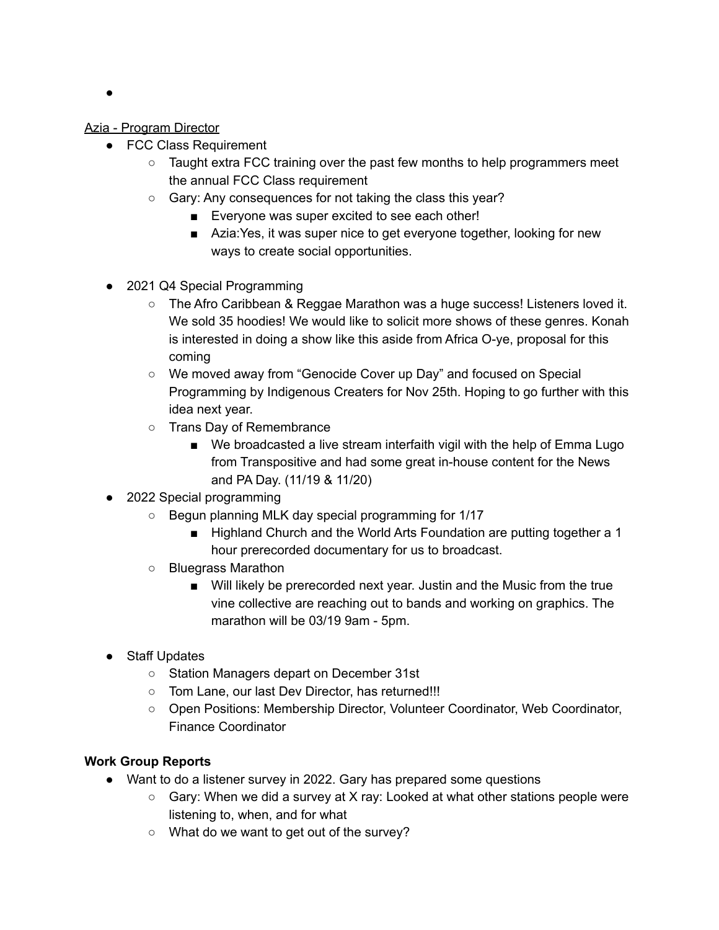$\bullet$ 

#### Azia - Program Director

- FCC Class Requirement
	- $\circ$  Taught extra FCC training over the past few months to help programmers meet the annual FCC Class requirement
	- Gary: Any consequences for not taking the class this year?
		- Everyone was super excited to see each other!
		- Azia: Yes, it was super nice to get everyone together, looking for new ways to create social opportunities.
- 2021 Q4 Special Programming
	- The Afro Caribbean & Reggae Marathon was a huge success! Listeners loved it. We sold 35 hoodies! We would like to solicit more shows of these genres. Konah is interested in doing a show like this aside from Africa O-ye, proposal for this coming
	- We moved away from "Genocide Cover up Day" and focused on Special Programming by Indigenous Creaters for Nov 25th. Hoping to go further with this idea next year.
	- Trans Day of Remembrance
		- We broadcasted a live stream interfaith vigil with the help of Emma Lugo from Transpositive and had some great in-house content for the News and PA Day. (11/19 & 11/20)
- 2022 Special programming
	- Begun planning MLK day special programming for 1/17
		- Highland Church and the World Arts Foundation are putting together a 1 hour prerecorded documentary for us to broadcast.
	- Bluegrass Marathon
		- Will likely be prerecorded next year. Justin and the Music from the true vine collective are reaching out to bands and working on graphics. The marathon will be 03/19 9am - 5pm.
- Staff Updates
	- Station Managers depart on December 31st
	- Tom Lane, our last Dev Director, has returned!!!
	- Open Positions: Membership Director, Volunteer Coordinator, Web Coordinator, Finance Coordinator

### **Work Group Reports**

- Want to do a listener survey in 2022. Gary has prepared some questions
	- Gary: When we did a survey at X ray: Looked at what other stations people were listening to, when, and for what
	- What do we want to get out of the survey?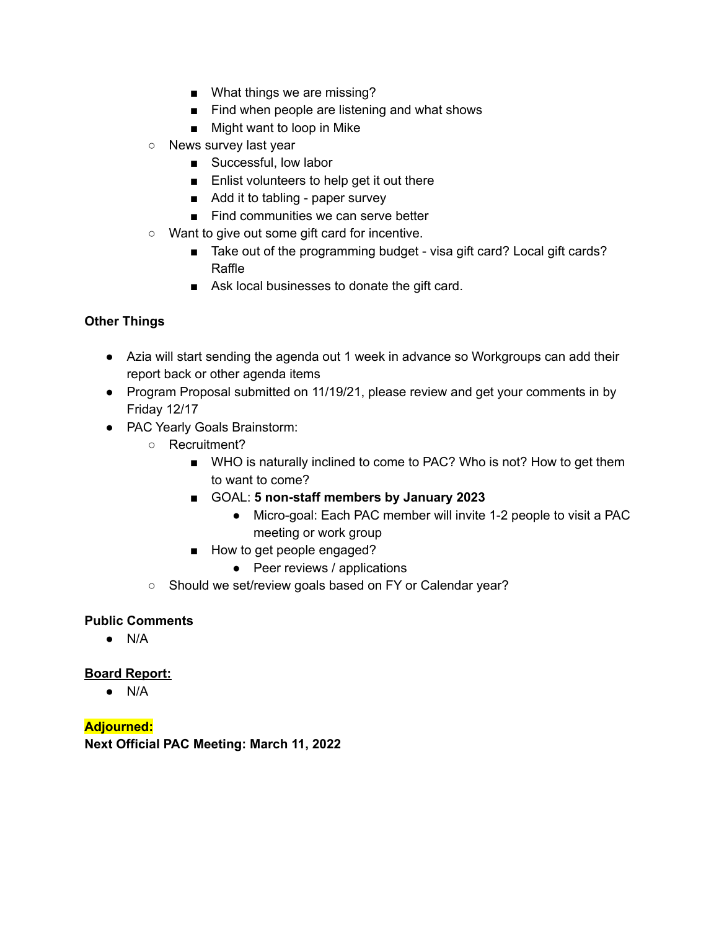- What things we are missing?
- Find when people are listening and what shows
- Might want to loop in Mike
- News survey last year
	- Successful, low labor
	- Enlist volunteers to help get it out there
	- Add it to tabling paper survey
	- Find communities we can serve better
- Want to give out some gift card for incentive.
	- Take out of the programming budget visa gift card? Local gift cards? Raffle
	- Ask local businesses to donate the gift card.

### **Other Things**

- Azia will start sending the agenda out 1 week in advance so Workgroups can add their report back or other agenda items
- Program Proposal submitted on 11/19/21, please review and get your comments in by Friday 12/17
- PAC Yearly Goals Brainstorm:
	- Recruitment?
		- WHO is naturally inclined to come to PAC? Who is not? How to get them to want to come?
		- GOAL: **5 non-staff members by January 2023**
			- Micro-goal: Each PAC member will invite 1-2 people to visit a PAC meeting or work group
		- How to get people engaged?
			- Peer reviews / applications
	- Should we set/review goals based on FY or Calendar year?

### **Public Comments**

 $\bullet$  N/A

### **Board Report:**

● N/A

**Adjourned: Next Official PAC Meeting: March 11, 2022**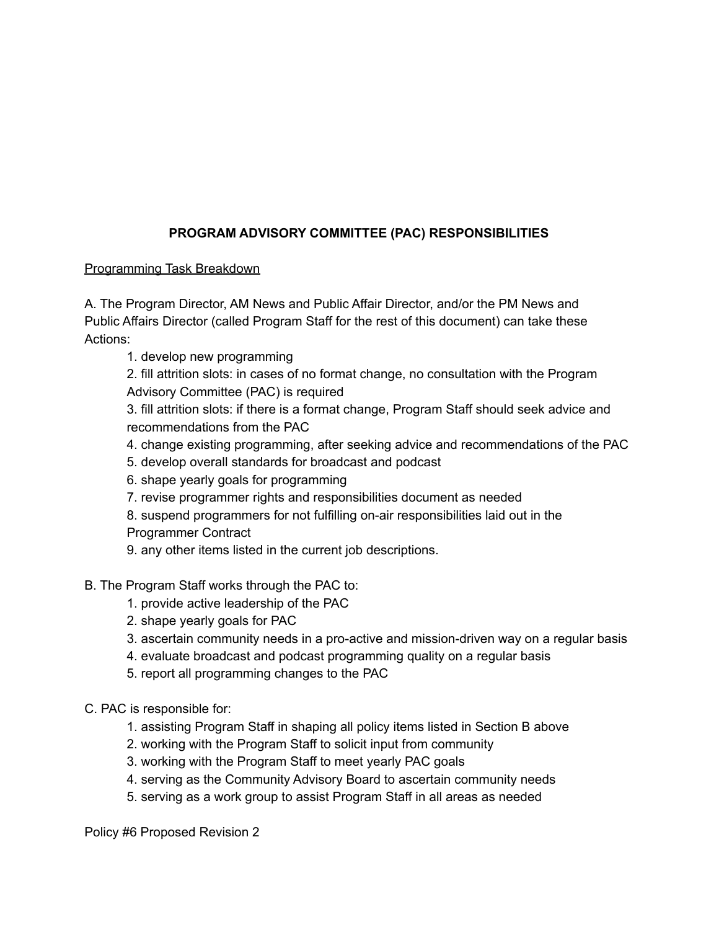# **PROGRAM ADVISORY COMMITTEE (PAC) RESPONSIBILITIES**

### Programming Task Breakdown

A. The Program Director, AM News and Public Affair Director, and/or the PM News and Public Affairs Director (called Program Staff for the rest of this document) can take these Actions:

1. develop new programming

2. fill attrition slots: in cases of no format change, no consultation with the Program Advisory Committee (PAC) is required

3. fill attrition slots: if there is a format change, Program Staff should seek advice and recommendations from the PAC

- 4. change existing programming, after seeking advice and recommendations of the PAC
- 5. develop overall standards for broadcast and podcast
- 6. shape yearly goals for programming
- 7. revise programmer rights and responsibilities document as needed

8. suspend programmers for not fulfilling on-air responsibilities laid out in the Programmer Contract

9. any other items listed in the current job descriptions.

# B. The Program Staff works through the PAC to:

- 1. provide active leadership of the PAC
- 2. shape yearly goals for PAC
- 3. ascertain community needs in a pro-active and mission-driven way on a regular basis
- 4. evaluate broadcast and podcast programming quality on a regular basis
- 5. report all programming changes to the PAC

C. PAC is responsible for:

- 1. assisting Program Staff in shaping all policy items listed in Section B above
- 2. working with the Program Staff to solicit input from community
- 3. working with the Program Staff to meet yearly PAC goals
- 4. serving as the Community Advisory Board to ascertain community needs
- 5. serving as a work group to assist Program Staff in all areas as needed

Policy #6 Proposed Revision 2